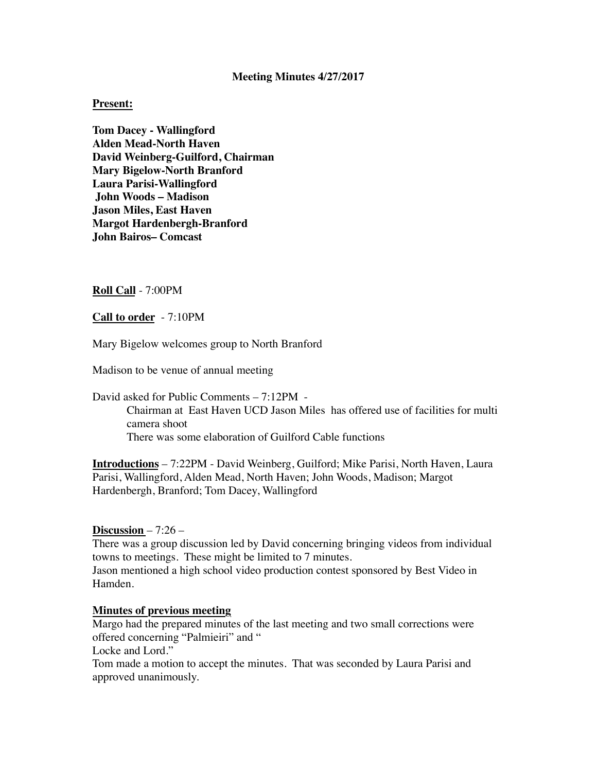#### **Meeting Minutes 4/27/2017**

#### **Present:**

**Tom Dacey - Wallingford Alden Mead-North Haven David Weinberg-Guilford, Chairman Mary Bigelow-North Branford Laura Parisi-Wallingford John Woods – Madison Jason Miles, East Haven Margot Hardenbergh-Branford John Bairos– Comcast** 

#### **Roll Call** - 7:00PM

**Call to order** - 7:10PM

Mary Bigelow welcomes group to North Branford

Madison to be venue of annual meeting

David asked for Public Comments – 7:12PM - Chairman at East Haven UCD Jason Miles has offered use of facilities for multi camera shoot There was some elaboration of Guilford Cable functions

**Introductions** – 7:22PM - David Weinberg, Guilford; Mike Parisi, North Haven, Laura Parisi, Wallingford, Alden Mead, North Haven; John Woods, Madison; Margot Hardenbergh, Branford; Tom Dacey, Wallingford

## **Discussion** – 7:26 –

There was a group discussion led by David concerning bringing videos from individual towns to meetings. These might be limited to 7 minutes. Jason mentioned a high school video production contest sponsored by Best Video in Hamden.

## **Minutes of previous meeting**

Margo had the prepared minutes of the last meeting and two small corrections were offered concerning "Palmieiri" and "

Locke and Lord."

Tom made a motion to accept the minutes. That was seconded by Laura Parisi and approved unanimously.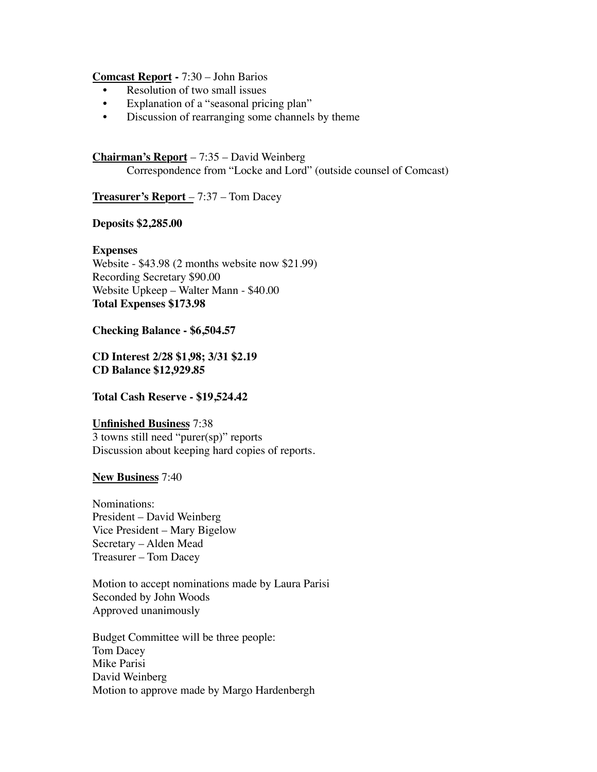#### **Comcast Report -** 7:30 – John Barios

- Resolution of two small issues
- Explanation of a "seasonal pricing plan"
- Discussion of rearranging some channels by theme

# **Chairman's Report** – 7:35 – David Weinberg

Correspondence from "Locke and Lord" (outside counsel of Comcast)

# **Treasurer's Report** – 7:37 – Tom Dacey

## **Deposits \$2,285.00**

# **Expenses**

Website - \$43.98 (2 months website now \$21.99) Recording Secretary \$90.00 Website Upkeep – Walter Mann - \$40.00 **Total Expenses \$173.98**

**Checking Balance - \$6,504.57**

**CD Interest 2/28 \$1,98; 3/31 \$2.19 CD Balance \$12,929.85**

# **Total Cash Reserve - \$19,524.42**

# **Unfinished Business** 7:38 3 towns still need "purer(sp)" reports

Discussion about keeping hard copies of reports.

# **New Business** 7:40

Nominations: President – David Weinberg Vice President – Mary Bigelow Secretary – Alden Mead Treasurer – Tom Dacey

Motion to accept nominations made by Laura Parisi Seconded by John Woods Approved unanimously

Budget Committee will be three people: Tom Dacey Mike Parisi David Weinberg Motion to approve made by Margo Hardenbergh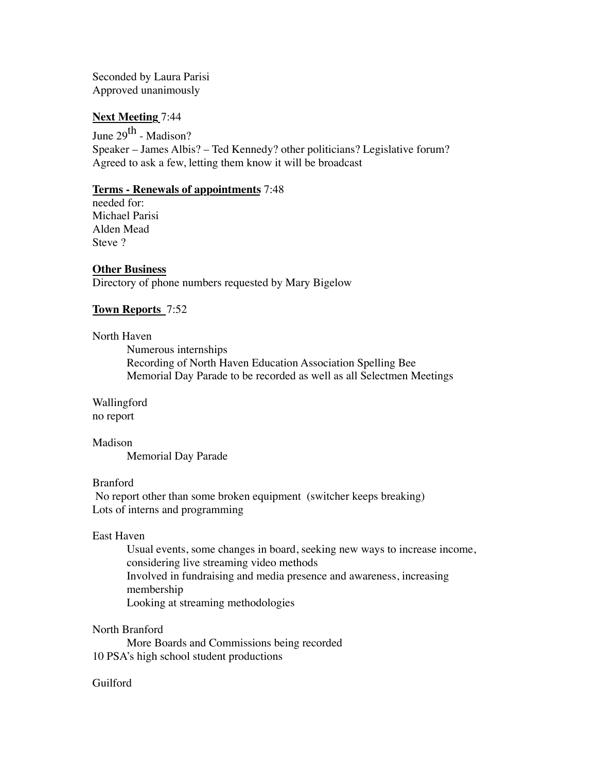Seconded by Laura Parisi Approved unanimously

## **Next Meeting** 7:44

June 29<sup>th</sup> - Madison? Speaker – James Albis? – Ted Kennedy? other politicians? Legislative forum? Agreed to ask a few, letting them know it will be broadcast

## **Terms - Renewals of appointments** 7:48

needed for: Michael Parisi Alden Mead Steve ?

# **Other Business**

Directory of phone numbers requested by Mary Bigelow

# **Town Reports** 7:52

## North Haven

Numerous internships Recording of North Haven Education Association Spelling Bee Memorial Day Parade to be recorded as well as all Selectmen Meetings

Wallingford no report

Madison Memorial Day Parade

# Branford

 No report other than some broken equipment (switcher keeps breaking) Lots of interns and programming

## East Haven

Usual events, some changes in board, seeking new ways to increase income, considering live streaming video methods Involved in fundraising and media presence and awareness, increasing membership Looking at streaming methodologies

## North Branford

More Boards and Commissions being recorded 10 PSA's high school student productions

## Guilford